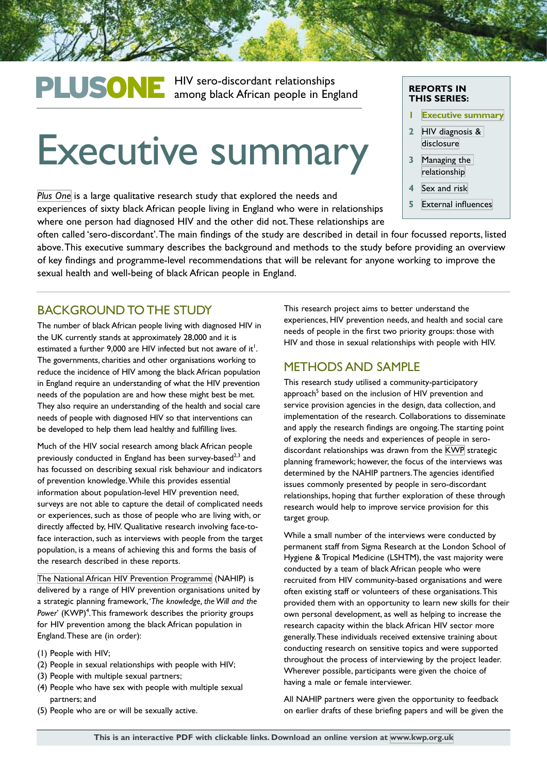# PLUSONE HIV sero-discordant relationships<br>
among black African people in England

# Executive summary

*[Plus One](http://kwp.org.uk/planning/plusone)* is a large qualitative research study that explored the needs and experiences of sixty black African people living in England who were in relationships where one person had diagnosed HIV and the other did not. These relationships are

#### **REPORTS IN THIS SERIES:**

- **1 [Executive summary](http://kwp.org.uk/files/PlusOne-Executive-Summary.pdf)**
- **2** [HIV diagnosis &](http://kwp.org.uk/files/PlusOne-HIV-diagnosis-disclusure.pdf)  [disclosure](http://kwp.org.uk/files/PlusOne-HIV-diagnosis-disclusure.pdf)
- **3** [Managing the](http://kwp.org.uk/files/PlusOne-Managing-the-relationship.pdf)  [relationship](http://kwp.org.uk/files/PlusOne-Managing-the-relationship.pdf)
- **4** [Sex and risk](http://kwp.org.uk/files/PlusOne-Sex-and-risk.pdf)
- **5** [External influences](http://kwp.org.uk/files/PlusOne-External-influences.pdf)

often called 'sero-discordant'. The main findings of the study are described in detail in four focussed reports, listed above. This executive summary describes the background and methods to the study before providing an overview of key findings and programme-level recommendations that will be relevant for anyone working to improve the sexual health and well-being of black African people in England.

#### BACKGROUND TO THE STUDY

The number of black African people living with diagnosed HIV in the UK currently stands at approximately 28,000 and it is estimated a further 9,000 are HIV infected but not aware of it $^{\mathfrak{l}}.$ The governments, charities and other organisations working to reduce the incidence of HIV among the black African population in England require an understanding of what the HIV prevention needs of the population are and how these might best be met. They also require an understanding of the health and social care needs of people with diagnosed HIV so that interventions can be developed to help them lead healthy and fulfilling lives.

Much of the HIV social research among black African people previously conducted in England has been survey-based<sup>2,3</sup> and has focussed on describing sexual risk behaviour and indicators of prevention knowledge. While this provides essential information about population-level HIV prevention need, surveys are not able to capture the detail of complicated needs or experiences, such as those of people who are living with, or directly affected by, HIV. Qualitative research involving face-toface interaction, such as interviews with people from the target population, is a means of achieving this and forms the basis of the research described in these reports.

[The National African HIV Prevention Programme](http://www.nahip.org.uk/) (NAHIP) is delivered by a range of HIV prevention organisations united by a strategic planning framework, '*The knowledge, the Will and the*  Power' (KWP)<sup>4</sup>. This framework describes the priority groups for HIV prevention among the black African population in England. These are (in order):

- (1) People with HIV;
- (2) People in sexual relationships with people with HIV;
- (3) People with multiple sexual partners;
- (4) People who have sex with people with multiple sexual partners; and
- (5) People who are or will be sexually active.

This research project aims to better understand the experiences, HIV prevention needs, and health and social care needs of people in the first two priority groups: those with HIV and those in sexual relationships with people with HIV.

#### METHODS AND SAMPLE

This research study utilised a community-participatory approach<sup>5</sup> based on the inclusion of HIV prevention and service provision agencies in the design, data collection, and implementation of the research. Collaborations to disseminate and apply the research findings are ongoing. The starting point of exploring the needs and experiences of people in serodiscordant relationships was drawn from the [KWP](http://kwp.org.uk/) strategic planning framework; however, the focus of the interviews was determined by the NAHIP partners. The agencies identified issues commonly presented by people in sero-discordant relationships, hoping that further exploration of these through research would help to improve service provision for this target group.

While a small number of the interviews were conducted by permanent staff from Sigma Research at the London School of Hygiene & Tropical Medicine (LSHTM), the vast majority were conducted by a team of black African people who were recruited from HIV community-based organisations and were often existing staff or volunteers of these organisations. This provided them with an opportunity to learn new skills for their own personal development, as well as helping to increase the research capacity within the black African HIV sector more generally. These individuals received extensive training about conducting research on sensitive topics and were supported throughout the process of interviewing by the project leader. Wherever possible, participants were given the choice of having a male or female interviewer.

All NAHIP partners were given the opportunity to feedback on earlier drafts of these briefing papers and will be given the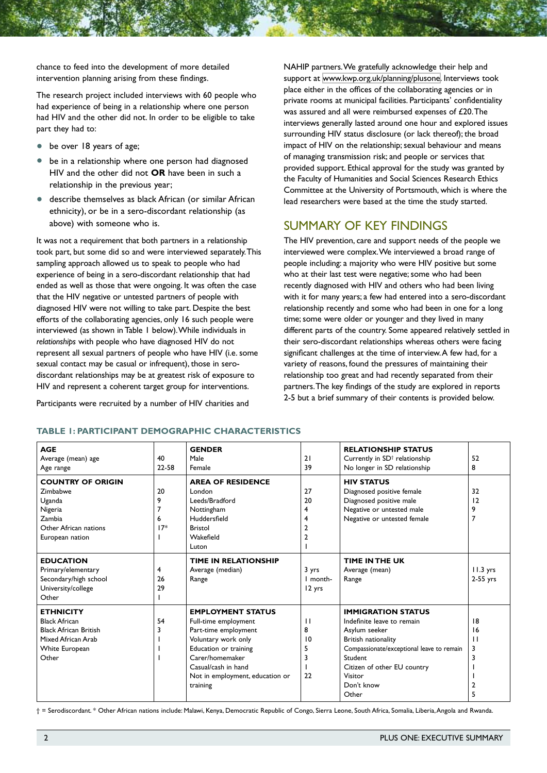chance to feed into the development of more detailed intervention planning arising from these findings.

The research project included interviews with 60 people who had experience of being in a relationship where one person had HIV and the other did not. In order to be eligible to take part they had to:

- be over 18 years of age;
- be in a relationship where one person had diagnosed HIV and the other did not **OR** have been in such a relationship in the previous year;
- describe themselves as black African (or similar African ethnicity), or be in a sero-discordant relationship (as above) with someone who is.

It was not a requirement that both partners in a relationship took part, but some did so and were interviewed separately. This sampling approach allowed us to speak to people who had experience of being in a sero-discordant relationship that had ended as well as those that were ongoing. It was often the case that the HIV negative or untested partners of people with diagnosed HIV were not willing to take part. Despite the best efforts of the collaborating agencies, only 16 such people were interviewed (as shown in Table 1 below). While individuals in *relationships* with people who have diagnosed HIV do not represent all sexual partners of people who have HIV (i.e. some sexual contact may be casual or infrequent), those in serodiscordant relationships may be at greatest risk of exposure to HIV and represent a coherent target group for interventions.

Participants were recruited by a number of HIV charities and

NAHIP partners. We gratefully acknowledge their help and support at [www.kwp.org.uk/planning/plusone](http://www.kwp.org.uk/planning/plusone). Interviews took place either in the offices of the collaborating agencies or in private rooms at municipal facilities. Participants' confidentiality was assured and all were reimbursed expenses of £20. The interviews generally lasted around one hour and explored issues surrounding HIV status disclosure (or lack thereof); the broad impact of HIV on the relationship; sexual behaviour and means of managing transmission risk; and people or services that provided support. Ethical approval for the study was granted by the Faculty of Humanities and Social Sciences Research Ethics Committee at the University of Portsmouth, which is where the lead researchers were based at the time the study started.

# SUMMARY OF KEY FINDINGS

The HIV prevention, care and support needs of the people we interviewed were complex. We interviewed a broad range of people including: a majority who were HIV positive but some who at their last test were negative; some who had been recently diagnosed with HIV and others who had been living with it for many years; a few had entered into a sero-discordant relationship recently and some who had been in one for a long time; some were older or younger and they lived in many different parts of the country. Some appeared relatively settled in their sero-discordant relationships whereas others were facing significant challenges at the time of interview. A few had, for a variety of reasons, found the pressures of maintaining their relationship too great and had recently separated from their partners. The key findings of the study are explored in reports 2-5 but a brief summary of their contents is provided below.

| <b>AGE</b>                   |       | <b>GENDER</b>                   |                | <b>RELATIONSHIP STATUS</b>                |              |
|------------------------------|-------|---------------------------------|----------------|-------------------------------------------|--------------|
| Average (mean) age           | 40    | Male                            | 21             | Currently in SD <sup>†</sup> relationship | 52           |
| Age range                    | 22-58 | Female                          | 39             | No longer in SD relationship              | 8            |
| <b>COUNTRY OF ORIGIN</b>     |       | <b>AREA OF RESIDENCE</b>        |                | <b>HIV STATUS</b>                         |              |
| <b>Zimbabwe</b>              | 20    | London                          | 27             | Diagnosed positive female                 | 32           |
| Uganda                       | 9     | Leeds/Bradford                  | 20             | Diagnosed positive male                   | 12           |
| Nigeria                      |       | Nottingham                      | 4              | Negative or untested male                 | 9            |
| Zambia                       | 6     | Huddersfield                    | 4              | Negative or untested female               | 7            |
| Other African nations        | $17*$ | <b>Bristol</b>                  | $\overline{2}$ |                                           |              |
| European nation              |       | Wakefield                       | $\overline{2}$ |                                           |              |
|                              |       | Luton                           |                |                                           |              |
| <b>EDUCATION</b>             |       | <b>TIME IN RELATIONSHIP</b>     |                | TIME IN THE UK                            |              |
| Primary/elementary           | 4     | Average (median)                | 3 yrs          | Average (mean)                            | $11.3$ yrs   |
| Secondary/high school        | 26    | Range                           | I month-       | Range                                     | $2-55$ yrs   |
| University/college           | 29    |                                 | 12 yrs         |                                           |              |
| Other                        |       |                                 |                |                                           |              |
| <b>ETHNICITY</b>             |       | <b>EMPLOYMENT STATUS</b>        |                | <b>IMMIGRATION STATUS</b>                 |              |
| <b>Black African</b>         | 54    | Full-time employment            | $\mathbf{1}$   | Indefinite leave to remain                | 18           |
| <b>Black African British</b> |       | Part-time employment            | 8              | Asylum seeker                             | 16           |
| Mixed African Arab           |       | Voluntary work only             | 10             | British nationality                       | $\mathbf{1}$ |
| White European               |       | Education or training           | 5              | Compassionate/exceptional leave to remain | 3            |
| Other                        |       | Carer/homemaker                 | 3              | Student                                   |              |
|                              |       | Casual/cash in hand             |                | Citizen of other EU country               |              |
|                              |       | Not in employment, education or | 22             | Visitor                                   |              |
|                              |       | training                        |                | Don't know                                |              |
|                              |       |                                 |                | Other                                     | 5            |

#### **TABLE 1: PARTICIPANT DEMOGRAPHIC CHARACTERISTICS**

† = Serodiscordant. \* Other African nations include: Malawi, Kenya, Democratic Republic of Congo, Sierra Leone, South Africa, Somalia, Liberia, Angola and Rwanda.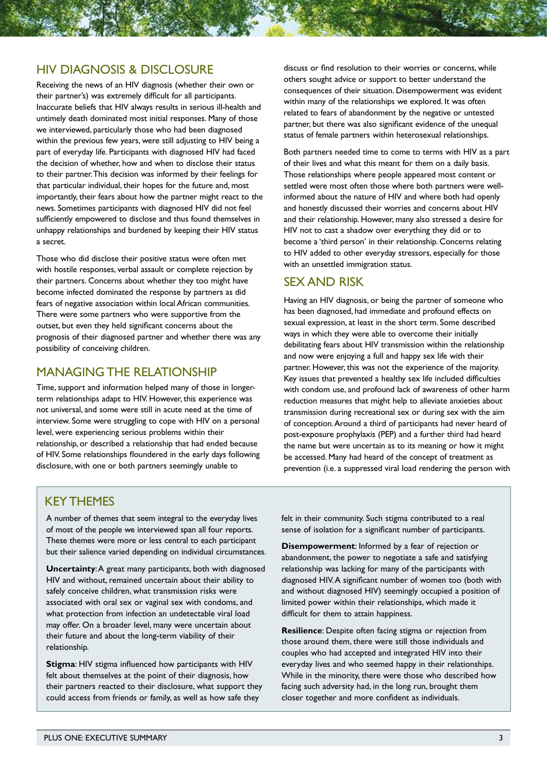#### HIV DIAGNOSIS & DISCLOSURE

Receiving the news of an HIV diagnosis (whether their own or their partner's) was extremely difficult for all participants. Inaccurate beliefs that HIV always results in serious ill-health and untimely death dominated most initial responses. Many of those we interviewed, particularly those who had been diagnosed within the previous few years, were still adjusting to HIV being a part of everyday life. Participants with diagnosed HIV had faced the decision of whether, how and when to disclose their status to their partner. This decision was informed by their feelings for that particular individual, their hopes for the future and, most importantly, their fears about how the partner might react to the news. Sometimes participants with diagnosed HIV did not feel sufficiently empowered to disclose and thus found themselves in unhappy relationships and burdened by keeping their HIV status a secret.

Those who did disclose their positive status were often met with hostile responses, verbal assault or complete rejection by their partners. Concerns about whether they too might have become infected dominated the response by partners as did fears of negative association within local African communities. There were some partners who were supportive from the outset, but even they held significant concerns about the prognosis of their diagnosed partner and whether there was any possibility of conceiving children.

#### MANAGING THE RELATIONSHIP

Time, support and information helped many of those in longerterm relationships adapt to HIV. However, this experience was not universal, and some were still in acute need at the time of interview. Some were struggling to cope with HIV on a personal level, were experiencing serious problems within their relationship, or described a relationship that had ended because of HIV. Some relationships floundered in the early days following disclosure, with one or both partners seemingly unable to

discuss or find resolution to their worries or concerns, while others sought advice or support to better understand the consequences of their situation. Disempowerment was evident within many of the relationships we explored. It was often related to fears of abandonment by the negative or untested partner, but there was also significant evidence of the unequal status of female partners within heterosexual relationships.

Both partners needed time to come to terms with HIV as a part of their lives and what this meant for them on a daily basis. Those relationships where people appeared most content or settled were most often those where both partners were wellinformed about the nature of HIV and where both had openly and honestly discussed their worries and concerns about HIV and their relationship. However, many also stressed a desire for HIV not to cast a shadow over everything they did or to become a 'third person' in their relationship. Concerns relating to HIV added to other everyday stressors, especially for those with an unsettled immigration status.

#### SEX AND RISK

Having an HIV diagnosis, or being the partner of someone who has been diagnosed, had immediate and profound effects on sexual expression, at least in the short term. Some described ways in which they were able to overcome their initially debilitating fears about HIV transmission within the relationship and now were enjoying a full and happy sex life with their partner. However, this was not the experience of the majority. Key issues that prevented a healthy sex life included difficulties with condom use, and profound lack of awareness of other harm reduction measures that might help to alleviate anxieties about transmission during recreational sex or during sex with the aim of conception. Around a third of participants had never heard of post-exposure prophylaxis (PEP) and a further third had heard the name but were uncertain as to its meaning or how it might be accessed. Many had heard of the concept of treatment as prevention (i.e. a suppressed viral load rendering the person with

## KEY THEMES

A number of themes that seem integral to the everyday lives of most of the people we interviewed span all four reports. These themes were more or less central to each participant but their salience varied depending on individual circumstances.

**Uncertainty**: A great many participants, both with diagnosed HIV and without, remained uncertain about their ability to safely conceive children, what transmission risks were associated with oral sex or vaginal sex with condoms, and what protection from infection an undetectable viral load may offer. On a broader level, many were uncertain about their future and about the long-term viability of their relationship.

**Stigma**: HIV stigma influenced how participants with HIV felt about themselves at the point of their diagnosis, how their partners reacted to their disclosure, what support they could access from friends or family, as well as how safe they

felt in their community. Such stigma contributed to a real sense of isolation for a significant number of participants.

**Disempowerment**: Informed by a fear of rejection or abandonment, the power to negotiate a safe and satisfying relationship was lacking for many of the participants with diagnosed HIV. A significant number of women too (both with and without diagnosed HIV) seemingly occupied a position of limited power within their relationships, which made it difficult for them to attain happiness.

**Resilience**: Despite often facing stigma or rejection from those around them, there were still those individuals and couples who had accepted and integrated HIV into their everyday lives and who seemed happy in their relationships. While in the minority, there were those who described how facing such adversity had, in the long run, brought them closer together and more confident as individuals.